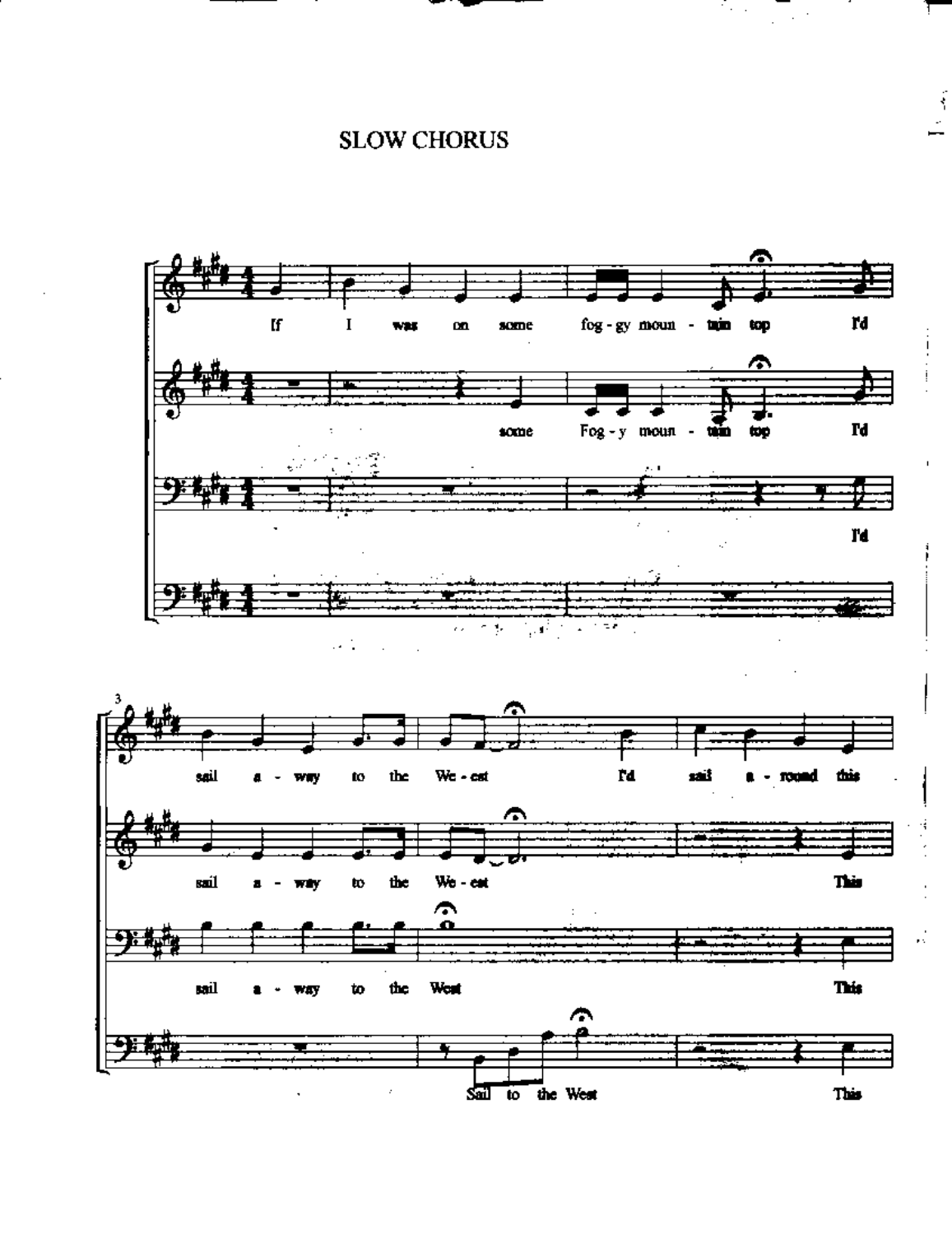## **SLOW CHORUS**

ि स

 $\frac{1}{2}$ 



∕ sal to the West This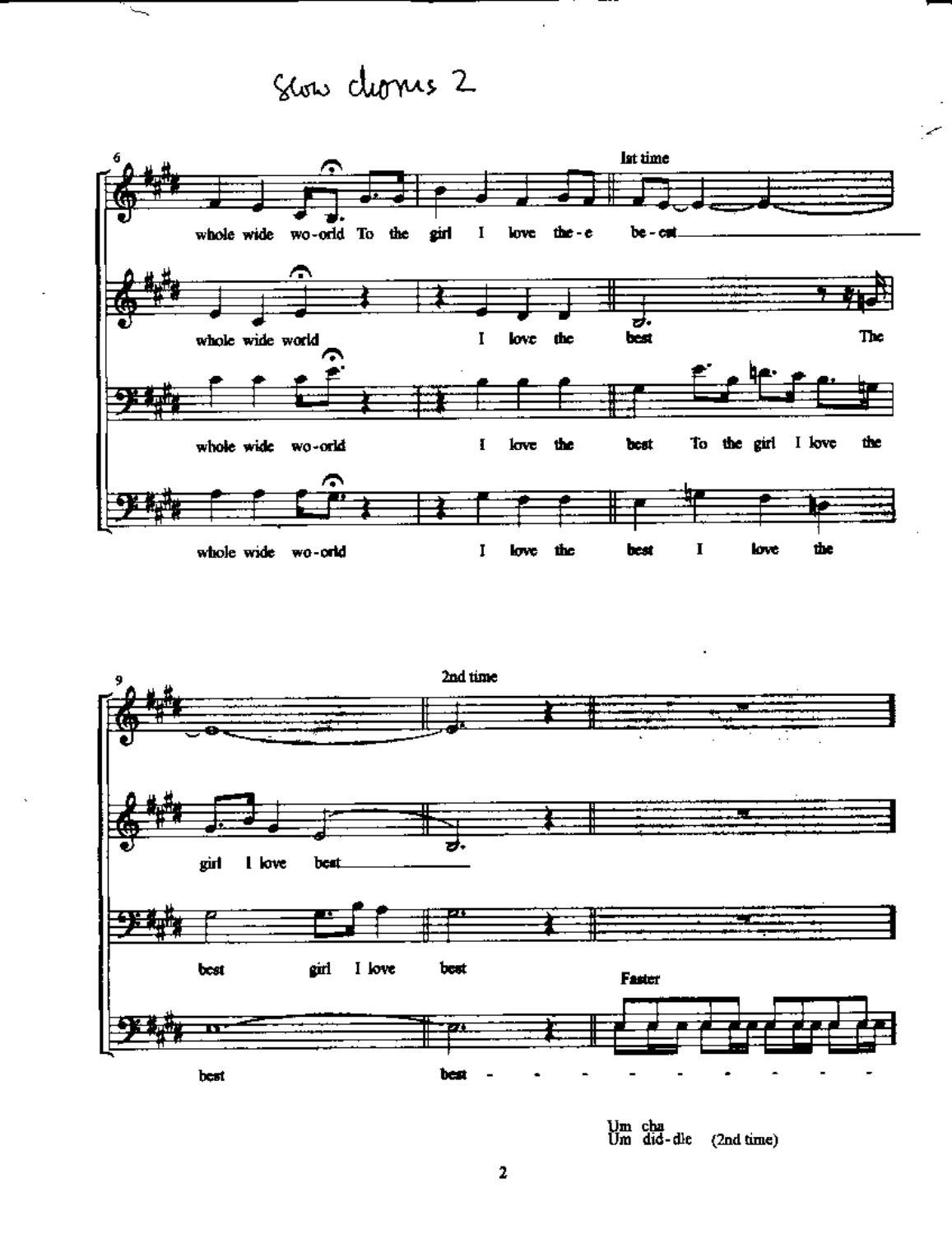## Stow chomes 2

 $\overline{\phantom{0}}$ 





Um cha<br>Um did-dle (2nd time)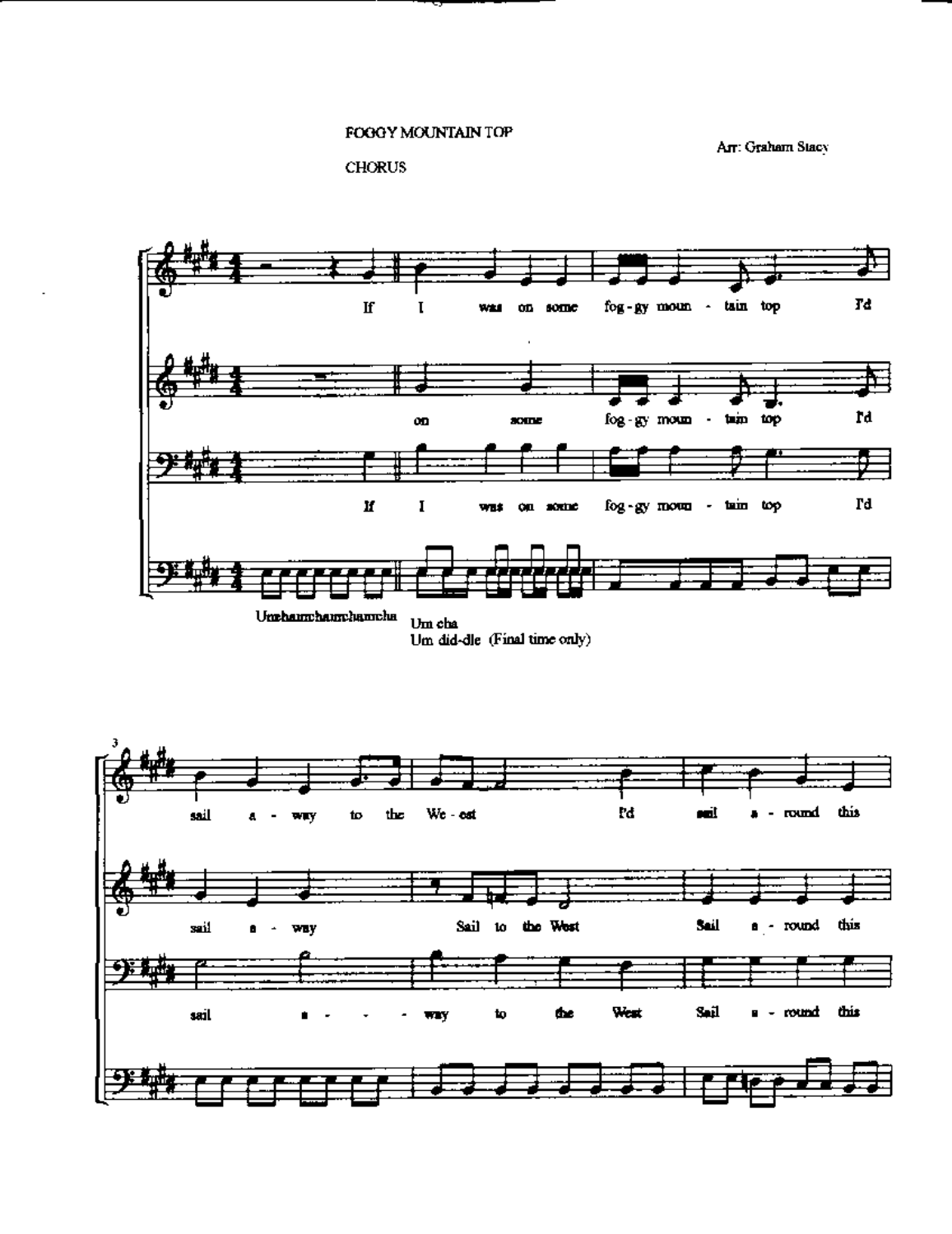## FOGGY MOUNTAIN TOP

An: Graham Stacy

<sup>~</sup>-



,